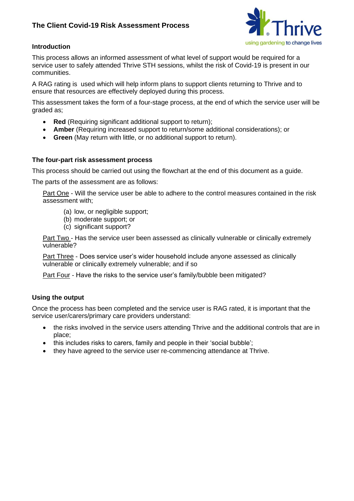## **The Client Covid-19 Risk Assessment Process**



## **Introduction**

This process allows an informed assessment of what level of support would be required for a service user to safely attended Thrive STH sessions, whilst the risk of Covid-19 is present in our communities.

A RAG rating is used which will help inform plans to support clients returning to Thrive and to ensure that resources are effectively deployed during this process.

This assessment takes the form of a four-stage process, at the end of which the service user will be graded as;

- **Red** (Requiring significant additional support to return);
- **Amber** (Requiring increased support to return/some additional considerations); or
- **Green** (May return with little, or no additional support to return).

## **The four-part risk assessment process**

This process should be carried out using the flowchart at the end of this document as a guide.

The parts of the assessment are as follows:

Part One - Will the service user be able to adhere to the control measures contained in the risk assessment with;

- (a) low, or negligible support;
- (b) moderate support; or
- (c) significant support?

Part Two - Has the service user been assessed as clinically vulnerable or clinically extremely vulnerable?

Part Three - Does service user's wider household include anyone assessed as clinically vulnerable or clinically extremely vulnerable; and if so

Part Four - Have the risks to the service user's family/bubble been mitigated?

## **Using the output**

Once the process has been completed and the service user is RAG rated, it is important that the service user/carers/primary care providers understand:

- the risks involved in the service users attending Thrive and the additional controls that are in place;
- this includes risks to carers, family and people in their 'social bubble';
- they have agreed to the service user re-commencing attendance at Thrive.